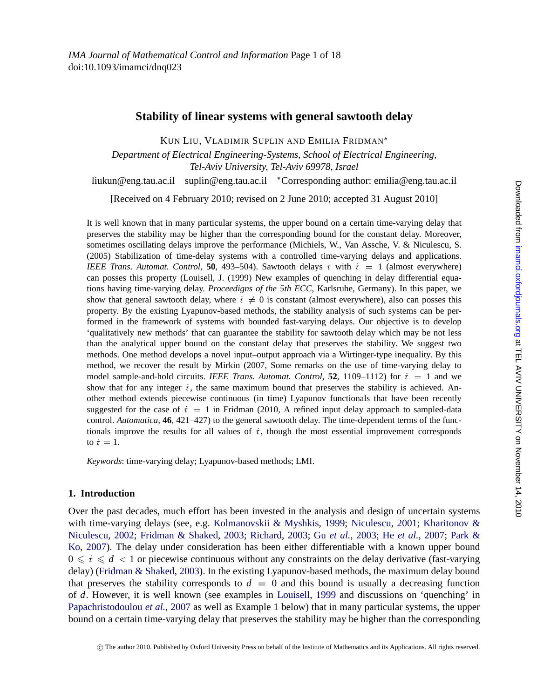*IMA Journal of Mathematical Control and Information* Page 1 of 18 doi:10.1093/imamci/dnq023

# **Stability of linear systems with general sawtooth delay**

KUN LIU, VLADIMIR SUPLIN AND EMILIA FRIDMAN∗

*Department of Electrical Engineering-Systems, School of Electrical Engineering, Tel-Aviv University, Tel-Aviv 69978, Israel*

liukun@eng.tau.ac.il suplin@eng.tau.ac.il ∗Corresponding author: emilia@eng.tau.ac.il

[Received on 4 February 2010; revised on 2 June 2010; accepted 31 August 2010]

It is well known that in many particular systems, the upper bound on a certain time-varying delay that preserves the stability may be higher than the corresponding bound for the constant delay. Moreover, sometimes oscillating delays improve the performance (Michiels, W., Van Assche, V. & Niculescu, S. (2005) Stabilization of time-delay systems with a controlled time-varying delays and applications. *IEEE Trans. Automat. Control*, **50**, 493–504). Sawtooth delays  $\tau$  with  $\dot{\tau} = 1$  (almost everywhere) can posses this property (Louisell, J. (1999) New examples of quenching in delay differential equations having time-varying delay. *Proceedigns of the 5th ECC*, Karlsruhe, Germany). In this paper, we show that general sawtooth delay, where  $\dot{\tau} \neq 0$  is constant (almost everywhere), also can posses this property. By the existing Lyapunov-based methods, the stability analysis of such systems can be performed in the framework of systems with bounded fast-varying delays. Our objective is to develop 'qualitatively new methods' that can guarantee the stability for sawtooth delay which may be not less than the analytical upper bound on the constant delay that preserves the stability. We suggest two methods. One method develops a novel input–output approach via a Wirtinger-type inequality. By this method, we recover the result by Mirkin (2007, Some remarks on the use of time-varying delay to model sample-and-hold circuits. *IEEE Trans. Automat. Control*, **52**, 1109–1112) for  $\dot{\tau} = 1$  and we show that for any integer  $\dot{\tau}$ , the same maximum bound that preserves the stability is achieved. Another method extends piecewise continuous (in time) Lyapunov functionals that have been recently suggested for the case of  $\dot{\tau} = 1$  in Fridman (2010, A refined input delay approach to sampled-data control. *Automatica*, **46**, 421–427) to the general sawtooth delay. The time-dependent terms of the functionals improve [the](#page-17-0) results for all values of  $\dot{\tau}$ [,](#page-17-0) [though](#page-17-0) the [most](#page-17-0) [esse](#page-17-0)n[tial](#page-17-0) [improv](#page-17-0)e[ment](#page-17-0) c[orresponds](#page-17-0) [to](#page-17-0)  $\dot{\tau}=1$ .

*Keywords*: time-varying delay; Lyapunov-based methods; LMI.

# **1. Introduction**

[Over the past decades, much e](#page-17-0)ffort has been invested in the analysis and design of uncertain systems with time-varying delays (see, e.g. Kolmanovskii & Myshkis, 1999; Niculescu, 2001; Kharitonov & Niculescu, 2002; Fridman & Shaked, 2003; Richard, 2003; Gu *et al.*, 2003; He *et al.*, 2007; Park & Ko, 2007). The delay under consideration has been either differentiable with a known upper bound  $0 \leqslant i \leqslant d < 1$  or piecewise continuous without any constraints on the delay derivative (fast-varying delay) (Fridman & Shaked, 2003). In the existing Lyapunov-based methods, the maximum delay bound that preserves the stability corresponds to  $d = 0$  and this bound is usually a decreasing function of *d*. However, it is well known (see examples in Louisell, 1999 and discussions on 'quenching' in Papachristodoulou *et al.*, 2007 as well as Example 1 below) that in many particular systems, the upper bound on a certain time-varying delay that preserves the stability may be higher than the corresponding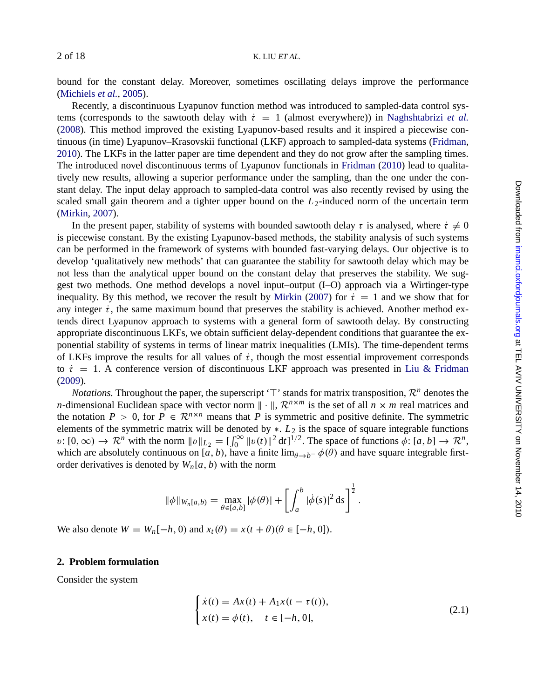bound for the constant delay. Moreover, sometimes oscillating delays improve the performance (Michiels *et al.*, 2005).

Recently, a discontinuous Lyapunov function method was introduced to sampled-data control syst[ems \(correspo](#page-17-0)nds to the sawtooth delay with  $\dot{\tau} = 1$  (almost everywhere)) in Naghshtabrizi *et al.* (2008). This method improved the existing Lyapunov-based results and it inspired a piecewise continuous (in time) Lyapunov–Krasovskii functional (LKF) approach to sampled-data systems (Fridman, 2010). The LKFs in the latter paper are time dependent and they do not grow after the sampling times. The introduced novel discontinuous terms of Lyapunov functionals in Fridman (2010) lead to qualitatively new results, allowing a superior performance under the sampling, than the one under the constant delay. The input delay approach to sampled-data control was also recently revised by using the scaled small gain theorem and a tighter upper boun[d on the](#page-17-0)  $L_2$ -induced norm of the uncertain term (Mirkin, 2007).

In the present paper, stability of systems with bounded sawtooth delay  $\tau$  is analysed, where  $\dot{\tau} \neq 0$ is piecewise constant. By the existing Lyapunov-based methods, the stability analysis of such systems can be performed in the framework of systems with bounded fast-varying delays. Our objective is to develop 'qualitatively new methods' that can guarantee the stability for sawtooth delay which may be not less than the analytical upper bound on the constant delay that preserves the st[ability. We sug](#page-17-0)[gest tw](#page-17-0)o methods. One method develops a novel input–output (I–O) approach via a Wirtinger-type inequality. By this method, we recover the result by Mirkin (2007) for  $\dot{\tau} = 1$  and we show that for any integer  $\dot{\tau}$ , the same maximum bound that preserves the stability is achieved. Another method extends direct Lyapunov approach to systems with a general form of sawtooth delay. By constructing appropriate discontinuous LKFs, we obtain sufficient delay-dependent conditions that guarantee the exponential stability of systems in terms of linear matrix inequalities (LMIs). The time-dependent terms of LKFs improve the results for all values of  $\dot{\tau}$ , though the most essential improvement corresponds to  $\dot{\tau} = 1$ . A conference version of discontinuous LKF approach was presented in Liu & Fridman (2009).

*Notations.* Throughout the paper, the superscript ' $\top$ ' stands for matrix transposition,  $\mathcal{R}^n$  denotes the *n*-dimensional Euclidean space with vector norm  $\|\cdot\|$ ,  $\mathcal{R}^{n \times m}$  is the set of all  $n \times m$  real matrices and the notation  $P > 0$ , for  $P \in \mathbb{R}^{n \times n}$  means that *P* is symmetric and positive definite. The symmetric elements of the symmetric matrix will be denoted by ∗. *L*<sup>2</sup> is the space of square integrable functions  $v: [0, \infty) \to \mathbb{R}^n$  with the norm  $||v||_{L_2} = \left[\int_0^\infty ||v(t)||^2 dt\right]^{1/2}$ . The space of functions  $\phi: [a, b] \to \mathbb{R}^n$ , which are absolutely continuous on [*a*, *b*), have a finite  $\lim_{\theta \to b^-} \phi(\theta)$  and have square integrable firstorder derivatives is denoted by  $W_n[a, b)$  with the norm

$$
\|\phi\|_{W_n[a,b)} = \max_{\theta \in [a,b]} |\phi(\theta)| + \left[ \int_a^b |\dot{\phi}(s)|^2 \, ds \right]^{\frac{1}{2}}.
$$

We also denote  $W = W_n[-h, 0)$  and  $x_t(\theta) = x(t + \theta)(\theta \in [-h, 0])$ .

## **2. Problem formulation**

Consider the system

$$
\begin{cases}\n\dot{x}(t) = Ax(t) + A_1 x(t - \tau(t)), \\
x(t) = \phi(t), \quad t \in [-h, 0],\n\end{cases}
$$
\n(2.1)

<span id="page-1-0"></span>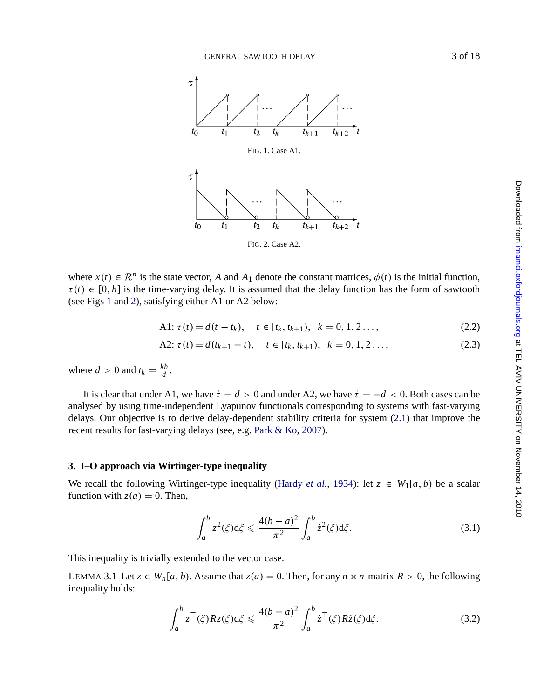GENERAL SAWTOOTH DELAY 3 of 18



FIG. 2. Case A2.

where  $x(t) \in \mathbb{R}^n$  is the state vector, *A* and  $A_1$  denote the constant matrices,  $\phi(t)$  is the initial function,  $\tau(t) \in [0, h]$  is the time-varying delay. It is assumed that the delay function has the form of sawtooth (see Figs 1 and 2), satisfying either A1 or A2 below:

A1: 
$$
\tau(t) = d(t - t_k)
$$
,  $t \in [t_k, t_{k+1})$ ,  $k = 0, 1, 2...$ , (2.2)

A2: 
$$
\tau(t) = d(t_{k+1} - t), \quad t \in [t_k, t_{k+1}), \quad k = 0, 1, 2 \ldots,
$$
 (2.3)

where  $d > 0$  and  $t_k = \frac{kh}{d}$ .

It is clear that [under](#page-17-0) A1, [we](#page-17-0) [have](#page-17-0)  $\dot{\tau} = d > 0$  and under [A2,](#page-17-0) we have  $\dot{\tau} = -d < 0$ . Both cases can be analysed by using time-independent Lyapunov functionals corresponding to systems with fast-varying delays. Our objective is to derive delay-dependent stability criteria for system (2.1) that improve the recent results for fast-varying delays (see, e.g. Park & Ko, 2007).

# **3. I–O approach via Wirtinger-type inequality**

We recall the following Wirtinger-type inequality (Hardy *et al.*, 1934): let  $z \in W_1[a, b)$  be a scalar function with  $z(a) = 0$ . Then,

$$
\int_{a}^{b} z^{2}(\xi) d\xi \leq \frac{4(b-a)^{2}}{\pi^{2}} \int_{a}^{b} \dot{z}^{2}(\xi) d\xi.
$$
 (3.1)

This inequality is trivially extended to the vector case.

LEMMA 3.1 Let  $z \in W_n[a, b)$ . Assume that  $z(a) = 0$ . Then, for any  $n \times n$ -matrix  $R > 0$ , the following inequality holds:

$$
\int_{a}^{b} z^{\top}(\xi) R z(\xi) d\xi \leqslant \frac{4(b-a)^{2}}{\pi^{2}} \int_{a}^{b} \dot{z}^{\top}(\xi) R \dot{z}(\xi) d\xi.
$$
 (3.2)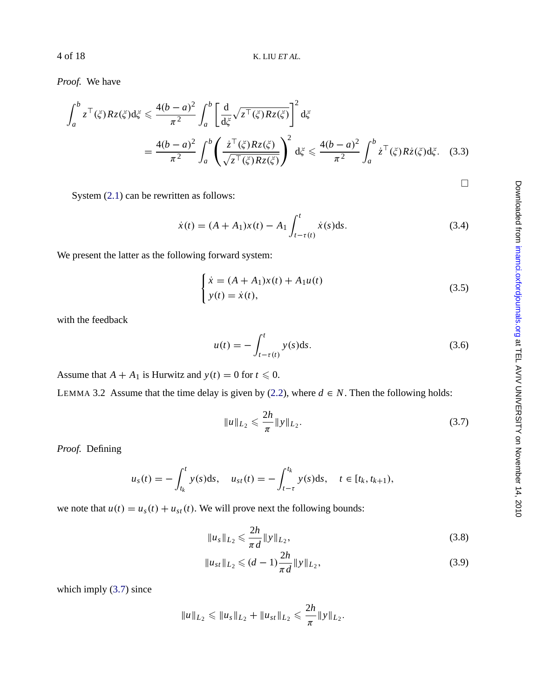*Proof.* We have

$$
\int_{a}^{b} z^{\top}(\xi) R z(\xi) d\xi \le \frac{4(b-a)^2}{\pi^2} \int_{a}^{b} \left[ \frac{d}{d\xi} \sqrt{z^{\top}(\xi) R z(\xi)} \right]^2 d\xi
$$
  
= 
$$
\frac{4(b-a)^2}{\pi^2} \int_{a}^{b} \left( \frac{\dot{z}^{\top}(\xi) R z(\xi)}{\sqrt{z^{\top}(\xi) R z(\xi)}} \right)^2 d\xi \le \frac{4(b-a)^2}{\pi^2} \int_{a}^{b} \dot{z}^{\top}(\xi) R \dot{z}(\xi) d\xi.
$$
 (3.3)

System (2.1) can be rewritten as follows:

$$
\dot{x}(t) = (A + A_1)x(t) - A_1 \int_{t-\tau(t)}^{t} \dot{x}(s)ds.
$$
\n(3.4)

We present the latter as the following forward system:

$$
\begin{cases} \n\dot{x} = (A + A_1)x(t) + A_1u(t) \\
y(t) = \dot{x}(t),\n\end{cases} \tag{3.5}
$$

with the feedback

$$
u(t) = -\int_{t-\tau(t)}^{t} y(s)ds.
$$
 (3.6)

Assume that  $A + A_1$  is Hurwitz and  $y(t) = 0$  for  $t \le 0$ .

LEMMA 3.2 Assume that the time delay is given by (2.2), where  $d \in N$ . Then the following holds:

$$
\|u\|_{L_2} \leqslant \frac{2h}{\pi} \|y\|_{L_2}.
$$
\n(3.7)

*Proof.* Defining

$$
u_s(t) = -\int_{t_k}^t y(s)ds
$$
,  $u_{st}(t) = -\int_{t-\tau}^{t_k} y(s)ds$ ,  $t \in [t_k, t_{k+1})$ ,

we note that  $u(t) = u_s(t) + u_{st}(t)$ . We will prove next the following bounds:

$$
||u_s||_{L_2} \leqslant \frac{2h}{\pi d} ||y||_{L_2},
$$
\n(3.8)

$$
||u_{st}||_{L_2} \leqslant (d-1)\frac{2h}{\pi d} ||y||_{L_2},
$$
\n(3.9)

which imply  $(3.7)$  since

$$
||u||_{L_2} \leq ||u_s||_{L_2} + ||u_{st}||_{L_2} \leq \frac{2h}{\pi} ||y||_{L_2}.
$$

 $\Box$ 

<span id="page-3-0"></span>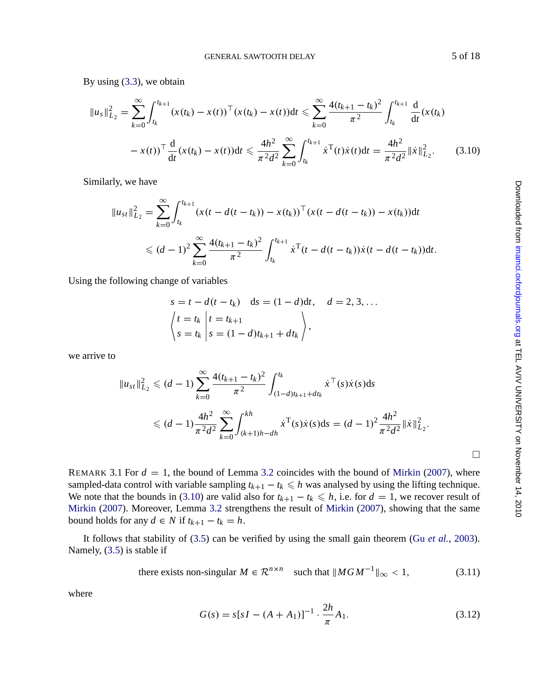GENERAL SAWTOOTH DELAY 5 of 18

<span id="page-4-0"></span>By using (3.3), we obtain

$$
||u_s||_{L_2}^2 = \sum_{k=0}^{\infty} \int_{t_k}^{t_{k+1}} (x(t_k) - x(t))^{\top} (x(t_k) - x(t)) dt \le \sum_{k=0}^{\infty} \frac{4(t_{k+1} - t_k)^2}{\pi^2} \int_{t_k}^{t_{k+1}} \frac{d}{dt} (x(t_k) - x(t))^{\top} \frac{d}{dt} (x(t_k) - x(t)) dt \le \frac{4h^2}{\pi^2 d^2} \sum_{k=0}^{\infty} \int_{t_k}^{t_{k+1}} \dot{x}^{\top}(t) \dot{x}(t) dt = \frac{4h^2}{\pi^2 d^2} ||\dot{x}||_{L_2}^2.
$$
 (3.10)

Similarly, we have

$$
||u_{st}||_{L_2}^2 = \sum_{k=0}^{\infty} \int_{t_k}^{t_{k+1}} (x(t - d(t - t_k)) - x(t_k))^{\top} (x(t - d(t - t_k)) - x(t_k)) dt
$$
  
\$\leq (d-1)^2 \sum\_{k=0}^{\infty} \frac{4(t\_{k+1} - t\_k)^2}{\pi^2} \int\_{t\_k}^{t\_{k+1}} \dot{x}^{\top} (t - d(t - t\_k)) \dot{x}(t - d(t - t\_k)) dt.\$

Using the following change of variables

$$
s = t - d(t - t_k) \quad ds = (1 - d)dt, \quad d = 2, 3, \dots
$$

$$
\begin{aligned} \begin{aligned} t &= t_k \\ s &= t_k \end{aligned} & \begin{aligned} \begin{aligned} t &= t_{k+1} \\ s &= (1 - d)t_{k+1} + dt_k \end{aligned} \end{aligned} \end{aligned}
$$

we arrive to

$$
||u_{st}||_{L_2}^2 \le (d-1) \sum_{k=0}^{\infty} \frac{4(t_{k+1} - t_k)^2}{\pi^2} \int_{(1-d)t_{k+1} + dt_k}^{t_k} \dot{x}^{\top}(s) \dot{x}(s) ds
$$
  

$$
\le (d-1) \frac{4h^2}{\pi^2 d^2} \sum_{k=0}^{\infty} \int_{(k+1)h - dh}^{kh} \dot{x}^{\top}(s) \dot{x}(s) ds = (d-1)^2 \frac{4h^2}{\pi^2 d^2} ||\dot{x}||_{L_2}^2.
$$

REMARK 3.1 For  $d = 1$ , the bound of Lemma 3.2 coincides with the bound of Mirkin (2007), where sampled-data control with variable sampling  $t_{k+1} - t_k \leq h$  was analysed by using the lifting technique. We note that the bounds in (3.10) are valid also for  $t_{k+1} - t_k \le h$ , i.e. for  $d = 1$ , we recover result of Mirkin (2007). Moreover, Lemma 3.2 strengthens the result of Mirkin (2007), showing that the same bound holds for any  $d \in N$  if  $t_{k+1} - t_k = h$ .

It follows that stability of (3.5) can be verified by using the small gain theorem (Gu *et al.*, 2003). Namely, (3.5) is stable if

there exists non-singular 
$$
M \in \mathbb{R}^{n \times n}
$$
 such that  $||MGM^{-1}||_{\infty} < 1$ ,  $(3.11)$ 

where

$$
G(s) = s[sI - (A + A_1)]^{-1} \cdot \frac{2h}{\pi} A_1.
$$
 (3.12)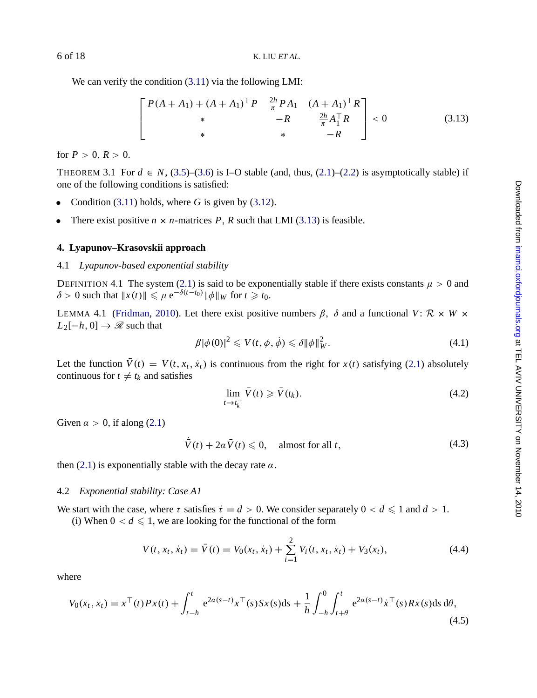We can verify the c[on](#page-3-0)dition  $(3.11)$  $(3.11)$  $(3.11)$  via the following LMI:

$$
\begin{bmatrix} P(A+A_1) + (A+A_1)^{\top} P & \frac{2h}{\pi} P A_1 & (A+A_1)^{\top} R \\ * & -R & \frac{2h}{\pi} A_1^{\top} R \\ * & * & -R \end{bmatrix} < 0
$$
 (3.13)

for  $P > 0, R > 0$ .

THEOREM 3.1 For  $d \in N$ , (3.5)–(3.6) is I–O stable (and, thus, (2.1)–(2.2) is asymptotically stable) if one of the following condition[s is](#page-1-0) satisfied:

- Condition  $(3.11)$  holds, where *G* is given by  $(3.12)$ .
- There exis[t](#page-17-0) [positive](#page-17-0)  $n \times n$  $n \times n$ -matrices  $P$ ,  $R$  such that LMI (3.13) is feasible.

### **4. Lyapunov–Krasovskii approach**

#### 4.1 *Lyapunov-based exponential stability*

DEFINITION 4.1 The system (2.1) is said to be exponentially stable if there exists constants  $\mu > 0$  and  $\delta > 0$  such that  $||x(t)|| \le \mu e^{-\delta(t-t_0)} ||\phi||_W$  for  $t \ge t_0$ .

LEMMA 4.1 (Fridman, 2010). Let there exist positive numbers  $\beta$ ,  $\delta$  and a functional *V*:  $\mathcal{R} \times W \times$  $L_2[-h, 0] \rightarrow \mathcal{R}$  such [that](#page-1-0)

$$
\beta |\phi(0)|^2 \leqslant V(t, \phi, \dot{\phi}) \leqslant \delta \|\phi\|_W^2. \tag{4.1}
$$

Let t[he f](#page-1-0)unction  $\bar{V}(t) = V(t, x_t, \dot{x}_t)$  is continuous from the right for  $x(t)$  satisfying (2.1) absolutely continuous for  $t \neq t_k$  and satisfies

$$
\lim_{t \to t_k^-} \bar{V}(t) \geqslant \bar{V}(t_k). \tag{4.2}
$$

Given  $\alpha > 0$ , if along (2.1)

$$
\bar{V}(t) + 2\alpha \bar{V}(t) \leq 0, \quad \text{almost for all } t,\tag{4.3}
$$

then (2.1) is exponentially stable with the decay rate  $\alpha$ .

#### 4.2 *Exponential stability: Case A1*

We start with the case, where  $\tau$  satisfies  $\dot{\tau} = d > 0$ . We consider separately  $0 < d \leq 1$  and  $d > 1$ .

(i) When  $0 < d \leq 1$ , we are looking for the functional of the form

$$
V(t, x_t, \dot{x}_t) = \bar{V}(t) = V_0(x_t, \dot{x}_t) + \sum_{i=1}^{2} V_i(t, x_t, \dot{x}_t) + V_3(x_t),
$$
\n(4.4)

where

$$
V_0(x_t, \dot{x}_t) = x^\top(t)Px(t) + \int_{t-h}^t e^{2a(s-t)}x^\top(s)Sx(s)ds + \frac{1}{h}\int_{-h}^0 \int_{t+\theta}^t e^{2a(s-t)}\dot{x}^\top(s)R\dot{x}(s)ds d\theta,
$$
\n(4.5)

<span id="page-5-0"></span>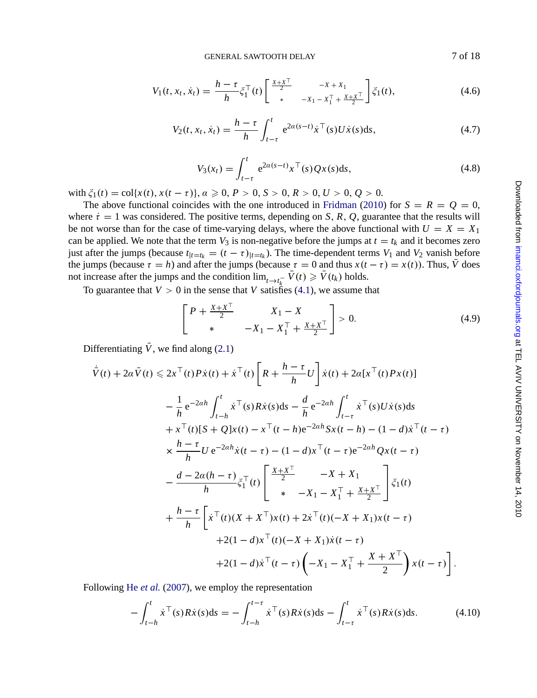GENERAL SAWTOOTH DELAY 7 of 18

<span id="page-6-0"></span>
$$
V_1(t, x_t, \dot{x}_t) = \frac{h - \tau}{h} \xi_1^{\top}(t) \begin{bmatrix} \frac{x + x^{\top}}{2} & -x + x_1 \\ * & -x_1 - x_1^{\top} + \frac{x + x^{\top}}{2} \end{bmatrix} \xi_1(t), \tag{4.6}
$$

$$
V_2(t, x_t, \dot{x}_t) = \frac{h - \tau}{h} \int_{t - \tau}^t e^{2\alpha(s - t)} \dot{x}^\top(s) U \dot{x}(s) ds,
$$
 (4.7)

$$
V_3(x_t) = \int_{t-\tau}^t e^{2a(s-t)} x^\top(s) Qx(s) ds,
$$
\n(4.8)

with  $\xi_1(t) = \text{col}\{x(t), x(t-\tau)\}, \alpha \geq 0, P > 0, S > 0, R > 0, U > 0, Q > 0.$  $\xi_1(t) = \text{col}\{x(t), x(t-\tau)\}, \alpha \geq 0, P > 0, S > 0, R > 0, U > 0, Q > 0.$  $\xi_1(t) = \text{col}\{x(t), x(t-\tau)\}, \alpha \geq 0, P > 0, S > 0, R > 0, U > 0, Q > 0.$ 

The above functional coincides with the one introduced in Fridman (2010) for  $S = R = Q = 0$ , where  $\dot{\tau} = 1$  was considered. The positive terms, depending on *S*, *R*, *Q*, guarantee that the results will be not worse than for the case of time-varying delays, where the above functional with  $U = X = X_1$ can be applied. We note that the term  $V_3$  is non-negative before the jumps at  $t = t_k$  and it becomes zero just after the jumps [\(](#page-1-0)because  $t_{|t=t_k} = (t-\tau)_{|t=t_k}$ ). The time-dependent terms  $V_1$  and  $V_2$  vanish before the jumps (because  $\tau = h$ ) and after the jumps (because  $\tau = 0$  and thus  $x(t - \tau) = x(t)$ ). Thus, *V* does not increase after the jumps and the condition  $\lim_{t \to t_k^-} V(t) \ge V(t_k)$  holds.

To guarantee that  $V > 0$  in the sense that *V* satisfies (4.1), we assume that

$$
\begin{bmatrix} P + \frac{X + X^{\top}}{2} & X_1 - X \\ * & -X_1 - X_1^{\top} + \frac{X + X^{\top}}{2} \end{bmatrix} > 0.
$$
 (4.9)

Differentiating  $\bar{V}$ , we find along (2.1)

$$
\dot{\bar{V}}(t) + 2\alpha \bar{V}(t) \le 2x^{\top}(t) P \dot{x}(t) + \dot{x}^{\top}(t) \left[ R + \frac{h - \tau}{h} U \right] \dot{x}(t) + 2\alpha [x^{\top}(t) P x(t)] \n- \frac{1}{h} e^{-2\alpha h} \int_{t-h}^{t} \dot{x}^{\top}(s) R \dot{x}(s) ds - \frac{d}{h} e^{-2\alpha h} \int_{t-\tau}^{t} \dot{x}^{\top}(s) U \dot{x}(s) ds \n+ x^{\top}(t) [S + Q] x(t) - x^{\top}(t-h) e^{-2\alpha h} S x(t-h) - (1-d) \dot{x}^{\top}(t-\tau) \n\times \frac{h - \tau}{h} U e^{-2\alpha h} \dot{x}(t-\tau) - (1-d) x^{\top}(t-\tau) e^{-2\alpha h} Q x(t-\tau) \n- \frac{d - 2\alpha (h - \tau)}{h} \dot{\xi}_{1}^{\top}(t) \left[ \begin{array}{ccc} \frac{x + x^{\top}}{2} & -X + X_{1} \\ * & -X_{1} - X_{1}^{\top} + \frac{x + x^{\top}}{2} \end{array} \right] \dot{\xi}_{1}(t) \n+ \frac{h - \tau}{h} \left[ \dot{x}^{\top}(t) (X + X^{\top}) x(t) + 2 \dot{x}^{\top}(t) (-X + X_{1}) x(t-\tau) \n+ 2(1-d) x^{\top}(t) (-X + X_{1}) \dot{x}(t-\tau) \n+ 2(1-d) \dot{x}^{\top}(t-\tau) \left( -X_{1} - X_{1}^{\top} + \frac{X + X^{\top}}{2} \right) x(t-\tau) \right].
$$

Following He *et al.* (2007), we employ the representation

$$
-\int_{t-h}^{t} \dot{x}^{\top}(s)R\dot{x}(s)ds = -\int_{t-h}^{t-\tau} \dot{x}^{\top}(s)R\dot{x}(s)ds - \int_{t-\tau}^{t} \dot{x}^{\top}(s)R\dot{x}(s)ds.
$$
 (4.10)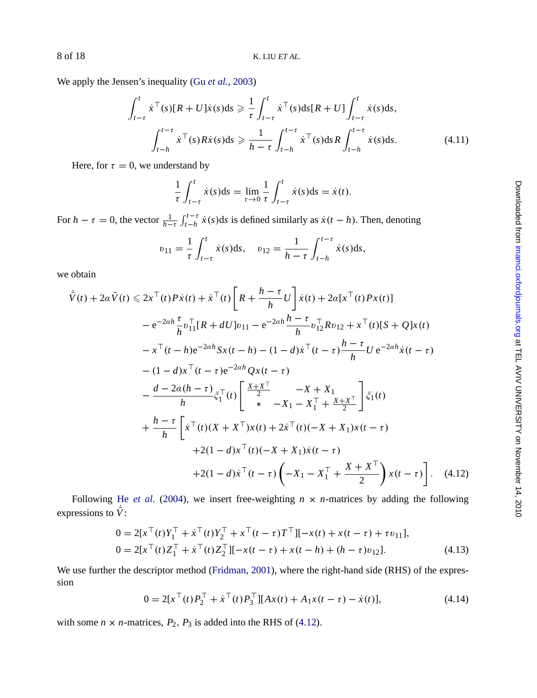We apply the Jensen's inequality (Gu *et al.*, 2003)

$$
\int_{t-\tau}^{t} \dot{x}^{\top}(s)[R+U]\dot{x}(s)ds \geq \frac{1}{\tau} \int_{t-\tau}^{t} \dot{x}^{\top}(s)ds[R+U] \int_{t-\tau}^{t} \dot{x}(s)ds,
$$
\n
$$
\int_{t-h}^{t-\tau} \dot{x}^{\top}(s)R\dot{x}(s)ds \geq \frac{1}{h-\tau} \int_{t-h}^{t-\tau} \dot{x}^{\top}(s)ds R \int_{t-h}^{t-\tau} \dot{x}(s)ds.
$$
\n(4.11)

Here, for  $\tau = 0$ , we understand by

$$
\frac{1}{\tau} \int_{t-\tau}^t \dot{x}(s) \mathrm{d}s = \lim_{\tau \to 0} \frac{1}{\tau} \int_{t-\tau}^t \dot{x}(s) \mathrm{d}s = \dot{x}(t).
$$

For  $h - \tau = 0$ , the vector  $\frac{1}{h-\tau} \int_{t-h}^{t-\tau} \dot{x}(s) ds$  is defined similarly as  $\dot{x}(t-h)$ . Then, denoting

$$
v_{11} = \frac{1}{\tau} \int_{t-\tau}^{t} \dot{x}(s) \, \mathrm{d}s, \quad v_{12} = \frac{1}{h-\tau} \int_{t-h}^{t-\tau} \dot{x}(s) \, \mathrm{d}s,
$$

we obtain

$$
\dot{\bar{V}}(t) + 2\alpha \bar{V}(t) \le 2x^{\top}(t) P \dot{x}(t) + \dot{x}^{\top}(t) \left[ R + \frac{h - \tau}{h} U \right] \dot{x}(t) + 2\alpha [x^{\top}(t) P x(t)]
$$
\n
$$
- e^{-2\alpha h} \frac{\tau}{h} v_{11}^{\top} [R + dU] v_{11} - e^{-2\alpha h} \frac{h - \tau}{h} v_{12}^{\top} R v_{12} + x^{\top}(t) [S + Q] x(t)
$$
\n
$$
- x^{\top}(t - h) e^{-2\alpha h} S x(t - h) - (1 - d) \dot{x}^{\top}(t - \tau) \frac{h - \tau}{h} U e^{-2\alpha h} \dot{x}(t - \tau)
$$
\n
$$
- (1 - d) x^{\top}(t - \tau) e^{-2\alpha h} Q x(t - \tau)
$$
\n
$$
- \frac{d - 2\alpha (h - \tau)}{h} \dot{\xi}_{1}^{\top}(t) \left[ \frac{x + x^{\top}}{2} - X + X_{1} \frac{x + x^{\top}}{2} \right] \dot{\xi}_{1}(t)
$$
\n
$$
h - \tau \left[ T - \tau \right] \frac{\tau}{h} \frac{x + x^{\top}}{2} \frac{x + x^{\top}}{2} + \tau
$$

$$
+\frac{h-\tau}{h}\left[\dot{x}^{\top}(t)(X+X^{\top})x(t)+2\dot{x}^{\top}(t)(-X+X_1)x(t-\tau) +2(1-d)x^{\top}(t)(-X+X_1)\dot{x}(t-\tau) +2(1-d)\dot{x}^{\top}(t-\tau)\left(-X_1-X_1^{\top}+\frac{X+X^{\top}}{2}\right)x(t-\tau)\right].
$$
 (4.12)

Following He *et al.* (2004), we insert free-weighting  $n \times n$ -matrices by adding the following expressions to  $\bar{V}$ :

$$
0 = 2[xT(t)Y1T + \dot{x}T(t)Y2T + xT(t - \tau)TT][-x(t) + x(t - \tau) + \tau v11],
$$
  
\n
$$
0 = 2[xT(t)Z1T + \dot{x}T(t)Z2T][-x(t - \tau) + x(t - h) + (h - \tau)v12].
$$
\n(4.13)

We use further the descriptor method (Fridman, 2001), where the right-hand side (RHS) of the expression

$$
0 = 2[xT(t)P2T + \dot{x}T(t)P3T][Ax(t) + A1x(t - \tau) - \dot{x}(t)],
$$
\n(4.14)

with some  $n \times n$ -matrices,  $P_2$ ,  $P_3$  is added into the RHS of (4.12).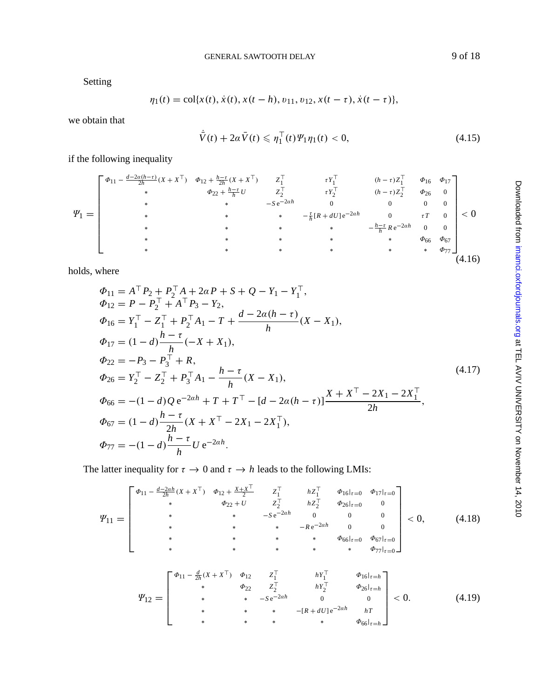GENERAL SAWTOOTH DELAY 9 of 18

<span id="page-8-0"></span>Setting

$$
\eta_1(t) = \text{col}\{x(t), \dot{x}(t), x(t-h), v_{11}, v_{12}, x(t-\tau), \dot{x}(t-\tau)\},
$$

we obtain that

$$
\dot{\bar{V}}(t) + 2\alpha \bar{V}(t) \leqslant \eta_1^\top(t) \Psi_1 \eta_1(t) < 0,\tag{4.15}
$$

if the following inequality

$$
\Psi_{1} = \begin{bmatrix} \Phi_{11} - \frac{d-2\alpha(h-\tau)}{2h}(X + X^{\top}) & \Phi_{12} + \frac{h-\tau}{2h}(X + X^{\top}) & Z_{1}^{\top} & \tau Y_{1}^{\top} & (h-\tau)Z_{1}^{\top} & \Phi_{16} & \Phi_{17} \\ * & \Phi_{22} + \frac{h-\tau}{h}U & Z_{2}^{\top} & \tau Y_{2}^{\top} & (h-\tau)Z_{2}^{\top} & \Phi_{26} & 0 \\ * & * & -S e^{-2\alpha h} & 0 & 0 & 0 \\ * & * & * & * & -\frac{\tau}{h}[R + dU]e^{-2\alpha h} & 0 & \tau T & 0 \\ * & * & * & * & * & \Phi_{66} & \Phi_{67} \\ * & * & * & * & * & * & \Phi_{77} \end{bmatrix} < 0
$$
\n
$$
(4.16)
$$

holds, where

$$
\Phi_{11} = A^{\top} P_2 + P_2^{\top} A + 2\alpha P + S + Q - Y_1 - Y_1^{\top},
$$
  
\n
$$
\Phi_{12} = P - P_2^{\top} + A^{\top} P_3 - Y_2,
$$
  
\n
$$
\Phi_{16} = Y_1^{\top} - Z_1^{\top} + P_2^{\top} A_1 - T + \frac{d - 2\alpha(h - \tau)}{h} (X - X_1),
$$
  
\n
$$
\Phi_{17} = (1 - d) \frac{h - \tau}{h} (-X + X_1),
$$
  
\n
$$
\Phi_{22} = -P_3 - P_3^{\top} + R,
$$
  
\n
$$
\Phi_{26} = Y_2^{\top} - Z_2^{\top} + P_3^{\top} A_1 - \frac{h - \tau}{h} (X - X_1),
$$
  
\n
$$
\Phi_{66} = -(1 - d) Q e^{-2\alpha h} + T + T^{\top} - [d - 2\alpha(h - \tau)] \frac{X + X^{\top} - 2X_1 - 2X_1^{\top}}{2h},
$$
\n(4.17)

$$
\Phi_{67} = (1 - d) \frac{h - \tau}{2h} (X + X^{\top} - 2X_1 - 2X_1^{\top}),
$$
  
\n
$$
\Phi_{77} = -(1 - d) \frac{h - \tau}{h} U e^{-2ah}.
$$

The latter inequality for  $\tau \to 0$  and  $\tau \to h$  leads to the following LMIs:

$$
\Psi_{11} = \begin{bmatrix} \phi_{11} - \frac{d-2ah}{2h}(X + X^{\top}) & \phi_{12} + \frac{X + X^{\top}}{2} & Z_{1}^{\top} & hZ_{1}^{\top} & \phi_{16}|_{\tau=0} & \phi_{17}|_{\tau=0} \\ * & \phi_{22} + U & Z_{2}^{\top} & hZ_{2}^{\top} & \phi_{26}|_{\tau=0} & 0 \\ * & * & -se^{-2ah} & 0 & 0 & 0 \\ * & * & * & * & * & \phi_{66}|_{\tau=0} & \phi_{67}|_{\tau=0} \\ * & * & * & * & * & \phi_{77}|_{\tau=0} \end{bmatrix} < 0, \qquad (4.18)
$$
\n
$$
\Psi_{12} = \begin{bmatrix} \phi_{11} - \frac{d}{2h}(X + X^{\top}) & \phi_{12} & Z_{1}^{\top} & hY_{1}^{\top} & \phi_{16}|_{\tau=h} \\ * & * & * & -se^{-2ah} & 0 & 0 \\ * & * & * & -se^{-2ah} & 0 & 0 \\ * & * & * & * & * & * \end{bmatrix} < 0. \qquad (4.19)
$$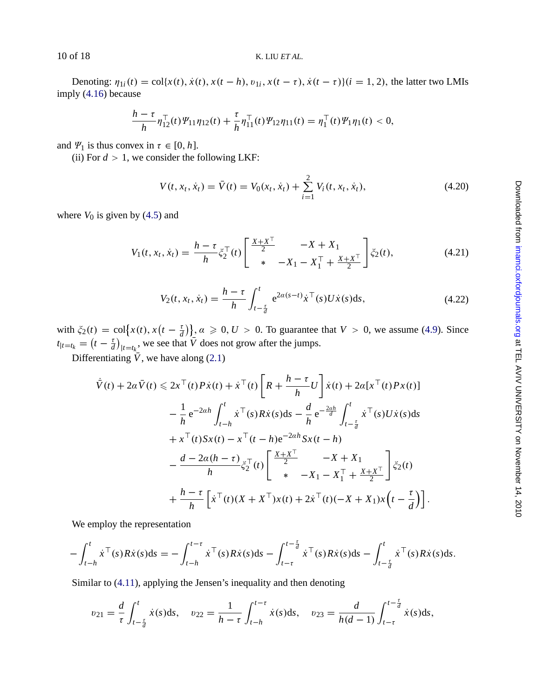Denoting:  $\eta_{1i}(t) = \text{col}\{x(t), \dot{x}(t), x(t-h), v_{1i}, x(t-\tau), \dot{x}(t-\tau)\}$  $(i = 1, 2)$ , the latter two LMIs imply (4.16) because

$$
\frac{h-\tau}{h} \eta_{12}^{\top}(t) \Psi_{11} \eta_{12}(t) + \frac{\tau}{h} \eta_{11}^{\top}(t) \Psi_{12} \eta_{11}(t) = \eta_1^{\top}(t) \Psi_1 \eta_1(t) < 0,
$$

and  $\Psi_1$  is thus convex in  $\tau \in [0, h]$ .

(ii) For  $d > 1$ , we consider the following LKF:

$$
V(t, x_t, \dot{x}_t) = \bar{V}(t) = V_0(x_t, \dot{x}_t) + \sum_{i=1}^{2} V_i(t, x_t, \dot{x}_t),
$$
\n(4.20)

where  $V_0$  is given by  $(4.5)$  and

$$
V_1(t, x_t, \dot{x}_t) = \frac{h - \tau}{h} \xi_2^{\top}(t) \begin{bmatrix} \frac{X + X^{\top}}{2} & -X + X_1 \\ * & -X_1 - X_1^{\top} + \frac{X + X^{\top}}{2} \end{bmatrix} \xi_2(t),\tag{4.21}
$$

$$
V_2(t, x_t, \dot{x}_t) = \frac{h - \tau}{h} \int_{t - \frac{\tau}{d}}^t e^{2\alpha(s - t)} \dot{x}^\top(s) U \dot{x}(s) ds,
$$
 (4.22)

with  $\xi_2(t) = \text{col}\big\{x(t), x\big(t - \frac{\tau}{d}\big)\big\}$ ,  $\alpha \geq 0, U > 0$ . To guarantee that  $V > 0$ , we assume (4.9). Since  $t_{|t=t_k} = (t - \frac{\tau}{d})_{|t=t_k}$ , we see that  $\overline{V}$  does not grow after the jumps.

Differentiating  $\bar{V}$ , we have along (2.1)

$$
\dot{\bar{V}}(t) + 2\alpha \bar{V}(t) \le 2x^{\top}(t) P \dot{x}(t) + \dot{x}^{\top}(t) \left[ R + \frac{h - \tau}{h} U \right] \dot{x}(t) + 2\alpha [x^{\top}(t) P x(t)] \n- \frac{1}{h} e^{-2\alpha h} \int_{t-h}^{t} \dot{x}^{\top}(s) R \dot{x}(s) ds - \frac{d}{h} e^{-\frac{2\alpha h}{d}} \int_{t-\frac{\tau}{d}}^{t} \dot{x}^{\top}(s) U \dot{x}(s) ds \n+ x^{\top}(t) S x(t) - x^{\top}(t-h) e^{-2\alpha h} S x(t-h) \n- \frac{d - 2\alpha (h - \tau)}{h} \xi_{2}^{\top}(t) \left[ \frac{x + x^{\top}}{2} -X + X_{1} \right] \xi_{2}(t) \n+ \frac{h - \tau}{h} \left[ \dot{x}^{\top}(t) (X + X^{\top}) x(t) + 2 \dot{x}^{\top}(t) (-X + X_{1}) x(t - \frac{\tau}{d}) \right].
$$

We employ the representation

$$
- \int_{t-h}^{t} \dot{x}^{\top}(s) R \dot{x}(s) ds = - \int_{t-h}^{t-\tau} \dot{x}^{\top}(s) R \dot{x}(s) ds - \int_{t-\tau}^{t-\frac{\tau}{d}} \dot{x}^{\top}(s) R \dot{x}(s) ds - \int_{t-\frac{\tau}{d}}^{t} \dot{x}^{\top}(s) R \dot{x}(s) ds.
$$

Similar to (4.11), applying the Jensen's inequality and then denoting

$$
v_{21} = \frac{d}{\tau} \int_{t-\frac{\tau}{d}}^{t} \dot{x}(s) \, ds, \quad v_{22} = \frac{1}{h-\tau} \int_{t-h}^{t-\tau} \dot{x}(s) \, ds, \quad v_{23} = \frac{d}{h(d-1)} \int_{t-\tau}^{t-\frac{\tau}{d}} \dot{x}(s) \, ds,
$$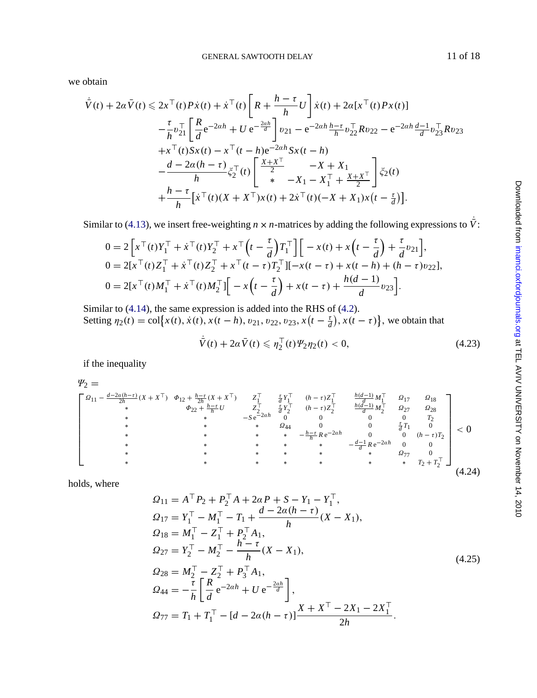GENERAL SAWTOOTH DELAY 11 of 18

we obtain

$$
\dot{\bar{V}}(t) + 2\alpha \bar{V}(t) \leq 2x^{\top}(t)P\dot{x}(t) + \dot{x}^{\top}(t)\left[R + \frac{h-\tau}{h}U\right]\dot{x}(t) + 2\alpha[x^{\top}(t)Px(t)] \n- \frac{\tau}{h}v_{21}^{\top}\left[\frac{R}{d}e^{-2ah} + Ue^{-\frac{2ah}{d}}\right]v_{21} - e^{-2ah}\frac{h-\tau}{h}v_{22}^{\top}Rv_{22} - e^{-2ah}\frac{d-1}{d}v_{23}^{\top}Rv_{23} \n+ x^{\top}(t)Sx(t) - x^{\top}(t-h)e^{-2ah}Sx(t-h) \n- \frac{d-2\alpha(h-\tau)}{h}\xi_{2}^{\top}(t)\left[\begin{array}{c}\frac{X+X^{\top}}{2} & -X+X_{1} \\ * & -X_{1} - X_{1}^{\top} + \frac{X+X^{\top}}{2}\end{array}\right]\xi_{2}(t) \n+ \frac{h-\tau}{h}[\dot{x}^{\top}(t)(X+X^{\top})x(t) + 2\dot{x}^{\top}(t)(-X+X_{1})x(t-\frac{\tau}{d})].
$$

Similar to (4.13), we insert free-weighting  $n \times n$ -matrices by adding the following expressions to  $\bar{V}$ :

$$
0 = 2\left[x^{\top}(t)Y_{1}^{\top} + \dot{x}^{\top}(t)Y_{2}^{\top} + x^{\top}(t - \frac{\tau}{d})T_{1}^{\top}\right] \left[-x(t) + x\left(t - \frac{\tau}{d}\right) + \frac{\tau}{d}v_{21}\right],
$$
  
\n
$$
0 = 2[x^{\top}(t)Z_{1}^{\top} + \dot{x}^{\top}(t)Z_{2}^{\top} + x^{\top}(t - \tau)T_{2}^{\top}] [-x(t - \tau) + x(t - h) + (h - \tau)v_{22}],
$$
  
\n
$$
0 = 2[x^{\top}(t)M_{1}^{\top} + \dot{x}^{\top}(t)M_{2}^{\top}] \left[-x\left(t - \frac{\tau}{d}\right) + x(t - \tau) + \frac{h(d - 1)}{d}v_{23}\right].
$$

Similar to (4.14), the same expression is added into the RHS of (4.2). Setting  $\eta_2(t) = \text{col}\Big\{x(t), \dot{x}(t), x(t-h), v_{21}, v_{22}, v_{23}, x(t-\frac{\tau}{d}), x(t-\tau)\Big\}$ , we obtain that

$$
\dot{\bar{V}}(t) + 2\alpha \bar{V}(t) \leq \eta_2^{\top}(t) \Psi_2 \eta_2(t) < 0,\tag{4.23}
$$

if the inequality

$$
\begin{array}{c}\n\mathcal{Y}_{2} = \\
\begin{bmatrix}\n\Omega_{11} - \frac{d - 2a(h - \tau)}{2h}(X + X^{\top}) & \phi_{12} + \frac{h - \tau}{2h}(X + X^{\top}) & Z_{1}^{\top} & \frac{\tau}{d}Y_{1}^{\top} & (h - \tau)Z_{1}^{\top} & \frac{h(d - 1)}{d}M_{1}^{\top} & Q_{17} & Q_{18} \\
\ast & \phi_{22} + \frac{h - \tau}{h}U & Z_{2}^{\top} & \frac{\tau}{d}Y_{2}^{\top} & (h - \tau)Z_{2}^{\top} & \frac{h(d - 1)}{d}M_{2}^{\top} & Q_{27} & Q_{28} \\
\ast & \ast & -S e^{-2ah} & 0 & 0 & 0 & 0 & 0 \\
\ast & \ast & \ast & \ast & 0 & 0 & \frac{\tau}{d}T_{1} & 0 \\
\ast & \ast & \ast & \ast & \ast & -\frac{h - \tau}{h}Re^{-2ah} & 0 & 0 & (h - \tau)T_{2} \\
\ast & \ast & \ast & \ast & \ast & \ast & \ast & 0 & 0 \\
\ast & \ast & \ast & \ast & \ast & \ast & \ast & \ast & Q_{77} & 0 \\
\ast & \ast & \ast & \ast & \ast & \ast & \ast & \ast & \ast & \ast \\
\end{bmatrix} &< 0\n\end{array}
$$
\n(4.24)

holds, where

$$
Q_{11} = A^{\top} P_2 + P_2^{\top} A + 2\alpha P + S - Y_1 - Y_1^{\top},
$$
  
\n
$$
Q_{17} = Y_1^{\top} - M_1^{\top} - T_1 + \frac{d - 2\alpha(h - \tau)}{h} (X - X_1),
$$
  
\n
$$
Q_{18} = M_1^{\top} - Z_1^{\top} + P_2^{\top} A_1,
$$
  
\n
$$
Q_{27} = Y_2^{\top} - M_2^{\top} - \frac{h - \tau}{h} (X - X_1),
$$
  
\n
$$
Q_{28} = M_2^{\top} - Z_2^{\top} + P_3^{\top} A_1,
$$
  
\n
$$
Q_{44} = -\frac{\tau}{h} \left[ \frac{R}{d} e^{-2\alpha h} + U e^{-\frac{2\alpha h}{d}} \right],
$$
  
\n
$$
Q_{77} = T_1 + T_1^{\top} - [d - 2\alpha(h - \tau)] \frac{X + X^{\top} - 2X_1 - 2X_1^{\top}}{2h}.
$$
\n(4.25)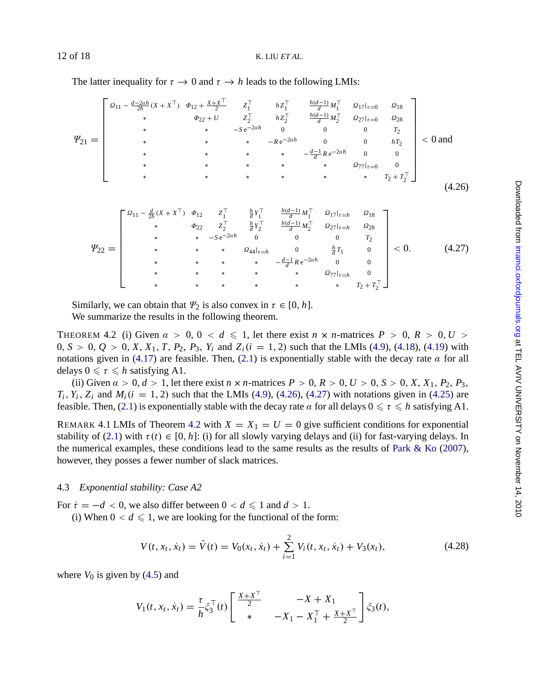The latter inequality for  $\tau \to 0$  and  $\tau \to h$  leads to the following LMIs:

$$
\Psi_{21} = \begin{bmatrix}\n\Omega_{11} - \frac{d-2ah}{2h}(X + X^{T}) & \Phi_{12} + \frac{X + X^{T}}{2} & Z_{1}^{T} & hZ_{1}^{T} & \frac{h(d-1)}{d}M_{1}^{T} & \Omega_{17}|_{\tau=0} & \Omega_{18} \\
\ast & \Phi_{22} + U & Z_{2}^{T} & hZ_{2}^{T} & \frac{h(d-1)}{d}M_{2}^{T} & \Omega_{27}|_{\tau=0} & \Omega_{28} \\
\ast & \ast & \ast & -Re-2ah & 0 & 0 & hT_{2} \\
\ast & \ast & \ast & \ast & \ast & \frac{d-1}{d}Re^{-2ah} & 0 & 0 \\
\ast & \ast & \ast & \ast & \ast & \frac{d-1}{d}Re^{-2ah} & 0 & 0 \\
\ast & \ast & \ast & \ast & \ast & \frac{d-1}{d}Re^{-2ah} & 0 & 0 \\
\ast & \ast & \ast & \ast & \ast & \frac{d-1}{d}Re^{-2ah} & 0 & 0 \\
\ast & \ast & \ast & \ast & \ast & \frac{d-1}{d}Re^{-2ah} & 0 & 0 \\
\ast & \ast & \ast & \ast & \ast & \frac{d-1}{d}Im_{\mathcal{M}_{1}^{T}} & \Omega_{17}|_{\tau=h} & \Omega_{18} \\
\ast & \ast & \ast & -Se-2ah & 0 & 0 & 0 & T_{2} \\
\ast & \ast & \ast & \ast & \frac{d}{d}Tr_{1} & 0 & 0 & 0 \\
\ast & \ast & \ast & \ast & \frac{d}{d}Tr_{1} & 0 & 0 & 0 \\
\ast & \ast & \ast & \ast & \frac{d}{d}Tr_{1} & 0 & 0 & 0 \\
\ast & \ast &
$$

Similarly, we can obta[in](#page-6-0) that  $\Psi_2$  is also conve[x](#page-6-0) in  $\tau \in [0, h]$ . We summar[ize](#page-1-0) the results in the following theorem.

THEOREM 4.2 (i) Given  $\alpha > 0$ ,  $0 < d \le 1$ , let there exist  $n \times n$ -matrices  $P > 0$ ,  $R > 0$ ,  $U >$  $0, S > 0, Q > 0, X, X_1, T, P_2, P_3, Y_i$  $0, S > 0, Q > 0, X, X_1, T, P_2, P_3, Y_i$  $0, S > 0, Q > 0, X, X_1, T, P_2, P_3, Y_i$  and  $Z_i(i = 1, 2)$  such that the LMIs (4.9), (4.18), (4.19) with notations given in (4.17) are feasible. Then, (2.1) is exponentially stable with the [decay](#page-17-0) [rate](#page-17-0)  $\alpha$  $\alpha$  $\alpha$  [for](#page-17-0) all delays  $0 \leq \tau \leq h$  satisfying A1.

(ii) Given  $\alpha > 0$ ,  $d > 1$ , let there exist  $n \times n$ -matrices  $P > 0$ ,  $R > 0$ ,  $U > 0$ ,  $S > 0$ ,  $X$ ,  $X_1$ ,  $P_2$ ,  $P_3$ ,  $T_i$ ,  $Y_i$ ,  $Z_i$  and  $M_i$  ( $i = 1, 2$ ) such that the LMIs (4.9), (4.26), (4.27) with notations given in (4.25) are feasible. Then, (2.1) is exponentially stable with the decay rate  $\alpha$  for all delays  $0 \leq \tau \leq h$  satisfying A1.

REMARK 4.1 LMIs of Theorem 4.2 with  $X = X_1 = U = 0$  give sufficient conditions for exponential stability of (2.1) with  $\tau(t) \in [0, h]$ : (i) for all slowly varying delays and (ii) for fast-varying delays. In the numerical examples, these conditions lead to the same results as the results of Park  $\&$  Ko (2007), however, they posses a fewer number of slack matrices.

### 4.3 *Exponential sta[bility](#page-5-0): Case A2*

For  $\dot{\tau} = -d < 0$ , we also differ between  $0 < d \le 1$  and  $d > 1$ .

(i) When  $0 < d \leq 1$ , we are looking for the functional of the form:

$$
V(t, x_t, \dot{x}_t) = \bar{V}(t) = V_0(x_t, \dot{x}_t) + \sum_{i=1}^{2} V_i(t, x_t, \dot{x}_t) + V_3(x_t),
$$
\n(4.28)

where  $V_0$  is given by  $(4.5)$  and

$$
V_1(t, x_t, \dot{x}_t) = \frac{\tau}{h} \dot{\xi}_3^{\top}(t) \begin{bmatrix} \frac{X + X^{\top}}{2} & -X + X_1 \\ * & -X_1 - X_1^{\top} + \frac{X + X^{\top}}{2} \end{bmatrix} \dot{\xi}_3(t),
$$

<span id="page-11-0"></span>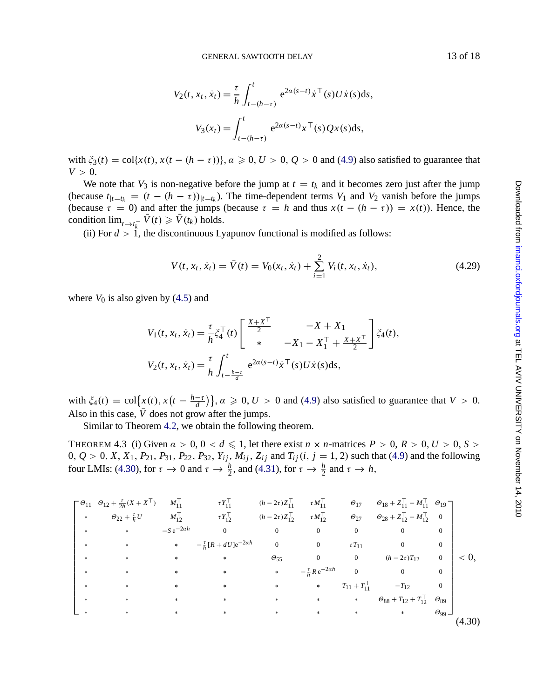GENERAL SAWTOOTH DELAY 13 of 18

$$
V_2(t, x_t, \dot{x}_t) = \frac{\tau}{h} \int_{t-(h-\tau)}^t e^{2\alpha(s-t)} \dot{x}^\top(s) U \dot{x}(s) ds,
$$
  

$$
V_3(x_t) = \int_{t-(h-\tau)}^t e^{2\alpha(s-t)} x^\top(s) Q x(s) ds,
$$

with  $\xi_3(t) = \text{col}\{x(t), x(t-(h-\tau))\}, \alpha \geq 0, U > 0, Q > 0$  and (4.9) also satisfied to guarantee that  $V > 0$ .

We note that  $V_3$  is non-negative before the jump at  $t = t_k$  and it becomes zero just after the jump (because  $t_{|t=t_k} = (t - (h - \tau))_{|t=t_k}$ ). The time-dependent terms  $V_1$  and  $V_2$  vanish before the jumps (because  $\tau = 0$ ) and afte[r](#page-5-0) [the](#page-5-0) jumps (because  $\tau = h$  and thus  $x(t - (h - \tau)) = x(t)$ ). Hence, the condition  $\lim_{t \to t_k^-} V(t) \ge V(t_k)$  holds.

(ii) For  $d > 1$ , the discontinuous Lyapunov functional is modified as follows:

$$
V(t, x_t, \dot{x}_t) = \bar{V}(t) = V_0(x_t, \dot{x}_t) + \sum_{i=1}^{2} V_i(t, x_t, \dot{x}_t),
$$
\n(4.29)

where  $V_0$  is also given by  $(4.5)$  and

$$
V_1(t, x_t, \dot{x}_t) = \frac{\tau}{h} \dot{\xi}_4^\top(t) \begin{bmatrix} \frac{X + X^\top}{2} & -X + X_1 \\ * & -X_1 - X_1^\top + \frac{X + X^\top}{2} \end{bmatrix} \dot{\xi}_4(t),
$$
  

$$
V_2(t, x_t, \dot{x}_t) = \frac{\tau}{h} \int_{t - \frac{h - \tau}{d}}^t e^{2\alpha(s - t)} \dot{x}^\top(s) U \dot{x}(s) ds,
$$

with  $\xi_4(t) = \text{col}\Big\{x(t), x(t - \frac{h-\tau}{d})\Big\}, \alpha \geqslant 0, U > 0$  and (4.9) also satisfied to guarantee that  $V > 0$ . Also in this case,  $\bar{V}$  does not grow after the jumps.

Similar to Theorem 4.2, we obtain the following theorem.

THEOREM 4.3 (i) Given  $\alpha > 0$ ,  $0 < d \le 1$ , let there exist  $n \times n$ -matrices  $P > 0$ ,  $R > 0$ ,  $U > 0$ ,  $S >$  $0, Q > 0, X, X_1, P_{21}, P_{31}, P_{22}, P_{32}, Y_{ij}, M_{ij}, Z_{ij}$  and  $T_{ij}(i, j = 1, 2)$  such that (4.9) and the following four LMIs: (4.30), for  $\tau \to 0$  and  $\tau \to \frac{h}{2}$ , and (4.31), for  $\tau \to \frac{h}{2}$  and  $\tau \to h$ ,

$$
\begin{bmatrix}\n\theta_{11} & \theta_{12} + \frac{r}{2h}(X + X^{\top}) & M_{11}^{\top} & rY_{11}^{\top} & (h - 2r)Z_{11}^{\top} & rM_{11}^{\top} & \theta_{17} & \theta_{18} + Z_{11}^{\top} - M_{11}^{\top} & \theta_{19} \\
* & \theta_{22} + \frac{r}{h}U & M_{12}^{\top} & rY_{12}^{\top} & (h - 2r)Z_{12}^{\top} & rM_{12}^{\top} & \theta_{27} & \theta_{28} + Z_{12}^{\top} - M_{12}^{\top} & 0 \\
* & * & -Se^{-2ah} & 0 & 0 & 0 & 0 & 0 & 0 \\
* & * & * & * & * & \theta_{55} & 0 & 0 & (h - 2r)T_{12} & 0 \\
* & * & * & * & * & * & * \theta_{55} & 0 & 0 & (h - 2r)T_{12} & 0 \\
* & * & * & * & * & * & * & T_{11} + T_{11}^{\top} & -T_{12} & 0 \\
* & * & * & * & * & * & * & * \theta_{88} + T_{12} + T_{12}^{\top} & \theta_{89} \\
* & * & * & * & * & * & * \theta_{99}\n\end{bmatrix}\n $\n\begin{bmatrix}\n\theta_{11} & \theta_{12} & \theta_{13} + Z_{11}^{\top} - M_{11}^{\top} & \theta_{19} \\
\theta_{22} + \frac{r}{h}U & M_{12}^{\top} & \theta_{23} & \theta_{28} + Z_{12}^{\top} - M_{12}^{\top} & 0 \\
\theta_{33} + Z_{12}^{\top} - M_{12}^{\top} & 0 & 0 & 0 \\
\theta_{41} & 0 & 0 & 0 & 0 & 0 \\
\theta_{52} & 0 & 0 & 0 & 0 & 0 \\
\theta_{63} & 0 & 0 & 0 & 0 & 0 \\
\theta_{71} & 0 & 0 & 0 & 0 \\
\theta_{84} & 0 & 0 & 0 & 0 \\
\theta_{99} & 0 & 0 & 0 & 0 \\
\theta_{100} & 0 & 0 & 0 & 0 \\
\theta_{111$
$$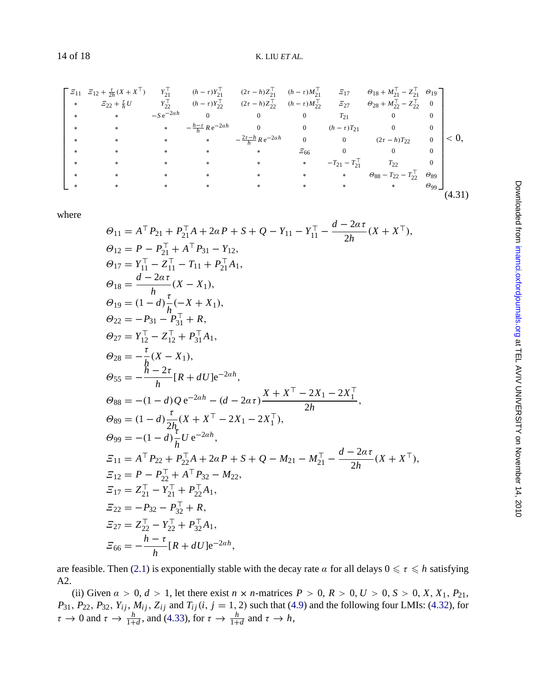$\Gamma$   $\mathbf{I}$  $\mathcal{Z}_{11}$   $\mathcal{Z}_{12}$  +  $\frac{\tau}{2h}$ (*X* + *X*<sup>T</sup>)  $Y_{21}^{\top}$  (*h* − *t*)*Y*<sub>21</sub><sup>T</sup> (*h* − *t*)*Z*<sub>21</sub><sup>T</sup> (*h* − *t*)*M*<sub>21</sub><sup>T</sup>  $\mathcal{Z}_{17}$   $\Theta_{18}$  + *M*<sub>21</sub><sup>T</sup> − *Z*<sub>21</sub><sup>T</sup>  $\Theta_{19}$ **\***  $E_{22} + E_{h}U$   $Y_{22}^{T}$   $(h − τ)Y_{22}^{T}$   $(2τ − h)Z_{22}^{T}$   $(h − τ)M_{22}^{T}$   $E_{27}$   $\theta_{28} + M_{22}^{T} - Z_{22}^{T}$  0 <sup>∗</sup> ∗ −*<sup>S</sup>* <sup>e</sup>−2α*<sup>h</sup>* <sup>0</sup> <sup>0</sup> <sup>0</sup> *<sup>T</sup>*<sup>21</sup> <sup>0</sup> <sup>0</sup> **∗ \*** *h*−*t*<sub>*h*</sub> *R* e<sup>−2α*h* 0 0 (*h* − *τ*)*T*<sub>21</sub> 0 0</sup> ∗ ∗ ∗ ∗ − <sup>2</sup>τ−*<sup>h</sup> <sup>h</sup> <sup>R</sup>* <sup>e</sup>−2α*<sup>h</sup>* <sup>0</sup> <sup>0</sup> (2<sup>τ</sup> <sup>−</sup> *<sup>h</sup>*)*T*<sup>22</sup> <sup>0</sup> **∗ ∗ ∗ ∗ ∗ ∗ ≤66 0 0** 0 ∗ ∗ ∗ ∗ ∗ ∗ −*T*<sup>21</sup> − *T* <sup>&</sup>gt; <sup>21</sup> *T*<sup>22</sup> 0 ∗ ∗ ∗ ∗ ∗ ∗ ∗ Θ<sup>88</sup> − *T*<sup>22</sup> − *T* <sup>&</sup>gt; <sup>22</sup> Θ<sup>89</sup> ∗ ∗ ∗ ∗ ∗ ∗ ∗ ∗ Θ<sup>99</sup> ٦  $< 0$ , (4.31)

where

$$
\Theta_{11} = A^{\top} P_{21} + P_{21}^{\top} A + 2\alpha P + S + Q - Y_{11} - Y_{11}^{\top} - \frac{d - 2\alpha \tau}{2h} (X + X^{\top}),
$$
\n
$$
\Theta_{12} = P - P_{21}^{\top} + A^{\top} P_{31} - Y_{12},
$$
\n
$$
\Theta_{17} = Y_{11}^{\top} - Z_{11}^{\top} - T_{11} + P_{21}^{\top} A_{1},
$$
\n
$$
\Theta_{18} = \frac{d - 2\alpha \tau}{h} (X - X_{1}),
$$
\n
$$
\Theta_{19} = (1 - d) \frac{\tau}{h} (-X + X_{1}),
$$
\n
$$
\Theta_{22} = -P_{31} - P_{31}^{\top} + R,
$$
\n
$$
\Theta_{27} = Y_{12}^{\top} - Z_{12}^{\top} + P_{31}^{\top} A_{1},
$$
\n
$$
\Theta_{28} = -\frac{\tau}{h} (X - X_{1}),
$$
\n
$$
\Theta_{55} = -\frac{h - 2\tau}{h} [R + dU] e^{-2ah},
$$
\n
$$
\Theta_{88} = -(1 - d) Q e^{-2ah} - (d - 2\alpha \tau) \frac{X + X^{\top} - 2X_{1} - 2X_{1}^{\top}}{2h},
$$
\n
$$
\Theta_{89} = (1 - d) \frac{\tau}{2h} (X + X^{\top} - 2X_{1} - 2X_{1}^{\top}),
$$
\n
$$
\Theta_{99} = -(1 - d) \frac{\tau}{h} U e^{-2ah},
$$
\n
$$
\Xi_{11} = A^{\top} P_{22} + P_{22}^{\top} A + 2\alpha P + S + Q - M_{21} - M_{21}^{\top} - \frac{d - 2\alpha \tau}{2h} (X + X^{\top}),
$$
\n
$$
\Xi_{12} = P - P_{22}^{\top} + A^{\top} P_{32} - M_{22},
$$
\n
$$
\Xi_{17} = Z_{21}^{\top} - Y_{21}^{\top} + P_{22}^{\top} A_{1},
$$
\n
$$
\Xi_{22} = -P
$$

are feasible. Then (2.1) is exponentially stable with the decay rate  $\alpha$  for all delays  $0 \le \tau \le h$  satisfying A2.

(ii) Given  $a > 0$ ,  $d > 1$ , let there exist  $n \times n$ -matrices  $P > 0$ ,  $R > 0$ ,  $U > 0$ ,  $S > 0$ ,  $X$ ,  $X_1$ ,  $P_{21}$ , *P*<sub>31</sub>, *P*<sub>22</sub>, *P*<sub>32</sub>, *Y<sub>ij</sub>*, *M<sub>ij</sub>*, *Z<sub>ij</sub>* and *T<sub>ij</sub>*(*i*, *j* = 1, 2) such that (4.9) and the following four LMIs: (4.32), for  $\tau \to 0$  and  $\tau \to \frac{h}{1+d}$ , and (4.33), for  $\tau \to \frac{h}{1+d}$  and  $\tau \to h$ ,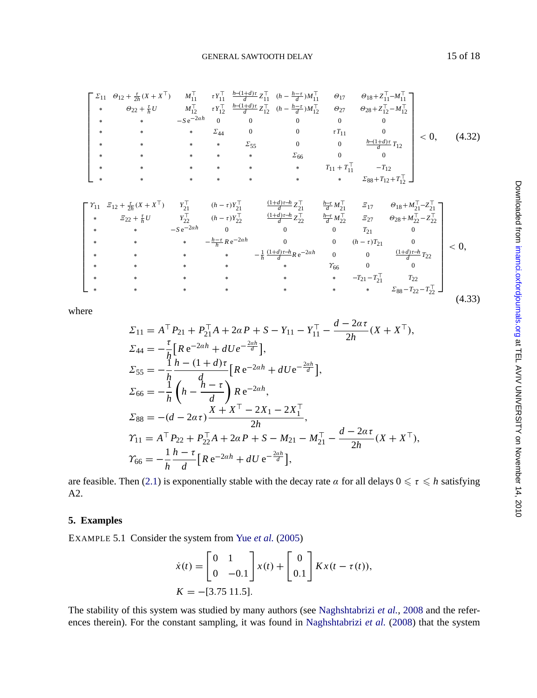GENERAL SAWTOOTH DELAY 15 of 18

<span id="page-14-0"></span>
$$
\begin{bmatrix}\n\Sigma_{11} & \theta_{12} + \frac{r}{2h}(X + X^{\top}) & M_{11}^{\top} & rV_{11}^{\top} & \frac{h - (1 + d)r}{d} Z_{11}^{\top} & (h - \frac{h - r}{d}) M_{11}^{\top} & \theta_{17} & \theta_{18} + Z_{11}^{\top} - M_{11}^{\top} \\
* & \theta_{22} + \frac{r}{h} U & M_{12}^{\top} & rV_{12}^{\top} & \frac{h - (1 + d)r}{d} Z_{12}^{\top} & (h - \frac{h - r}{d}) M_{12}^{\top} & \theta_{27} & \theta_{28} + Z_{12}^{\top} - M_{12}^{\top} \\
* & * & -S e^{-2ah} & 0 & 0 & 0 & 0 & 0 \\
* & * & * & * & \Sigma_{55} & 0 & 0 & \frac{h - (1 + d)r}{d} T_{12} \\
* & * & * & * & * & \Sigma_{66} & 0 & 0 \\
* & * & * & * & * & * & T_{11} + T_{11}^{\top} & -T_{12} \\
* & * & * & * & * & * & T_{11} + T_{11}^{\top} & -T_{12} \\
* & * & * & * & * & * & T_{11} + T_{11}^{\top} & -T_{12} \\
* & * & * & * & * & * & T_{11} + T_{11}^{\top} & -T_{12} \\
* & * & * & * & * & * & T_{11} + T_{11}^{\top} & -T_{12} \\
* & * & * & * & * & * & T_{11} + T_{11}^{\top} & -T_{12} \\
* & * & * & * & * & * & T_{11} + T_{11}^{\top} & -T_{12} \\
* & * & * & * & * & * & T_{11} + T_{11}^{\top} & -T_{12} \\
* & * & * & * & * & * & T_{11} + T_{11}^{\top} & -T_{12} \\
* & * & * & * & * & * & T_{11} + T_{11}^{\top} & -T_{12} \\
* & * & * & * & * & * & T_{11} + T_{11}^{\top} & -T_{12} \\
* & * & * & * & * & * & T_{11} + T_{11}^{\top} & -T
$$

where

$$
\Sigma_{11} = A^{\top} P_{21} + P_{21}^{\top} A + 2\alpha P + S - Y_{11} - Y_{11}^{\top} - \frac{d - 2\alpha \tau}{2h} (X + X^{\top}),
$$
\n
$$
\Sigma_{44} = -\frac{\tau}{h} \Big[ R e^{-2\alpha h} + dU e^{-\frac{2\alpha h}{d}} \Big],
$$
\n
$$
\Sigma_{55} = -\frac{1}{h} \frac{h - (1 + d)\tau}{d} \Big[ R e^{-2\alpha h} + dU e^{-\frac{2\alpha h}{d}} \Big],
$$
\n
$$
\Sigma_{66} = -\frac{1}{h} \left( h - \frac{h - \tau}{d} \right) R e^{-2\alpha h},
$$
\n
$$
\Sigma_{88} = -(d - 2\alpha \tau) \frac{X + X^{\top} - 2X_1 - 2X_1^{\top}}{2h},
$$
\n
$$
\gamma_{11} = A^{\top} P_{22} + P_{22}^{\top} A + 2\alpha P + S - M_{21} - M_{21}^{\top} - \frac{d - 2\alpha \tau}{2h} (X + X^{\top}),
$$
\n
$$
\gamma_{66} = -\frac{1}{h} \frac{h - \tau}{d} \Big[ R e^{-2\alpha h} + dU e^{-\frac{2\alpha h}{d}} \Big],
$$

are feasible. Then (2.1) is exponentially stable with the decay rate  $\alpha$  for all delays  $0 \le \tau \le h$  satisfying A2.

## **5. Examples**

EXAMPLE 5.1 Consider the system from Yue *et al.* (2005)

$$
\dot{x}(t) = \begin{bmatrix} 0 & 1 \\ 0 & -0.1 \end{bmatrix} x(t) + \begin{bmatrix} 0 \\ 0.1 \end{bmatrix} Kx(t - \tau(t)),
$$
  

$$
K = -[3.75 \ 11.5].
$$

The stability of this system was studied by many authors (see Naghshtabrizi *et al.*, 2008 and the references therein). For the constant sampling, it was found in Naghshtabrizi *et al.* (2008) that the system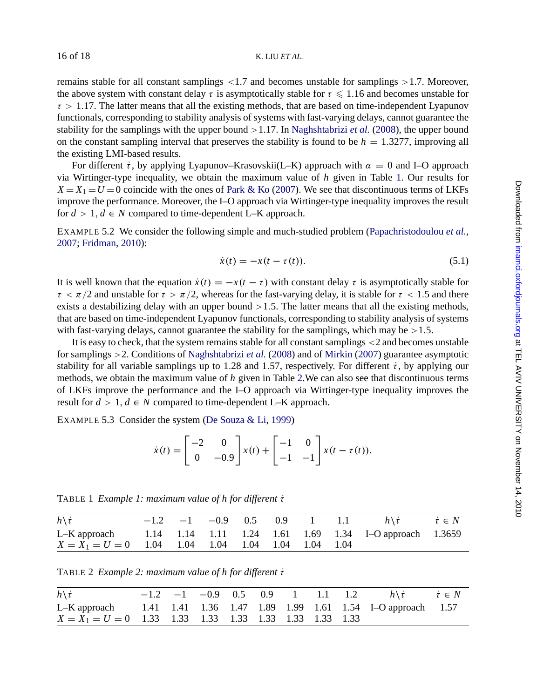remains stable for all constant samplings  $\langle 1.7 \rangle$  and becomes unstable for samplings  $\langle 1.7 \rangle$ . Moreover, the above system with constant delay  $\tau$  is [asymptotic](#page-17-0)a[lly sta](#page-17-0)ble for  $\tau \leq 1.16$  and becomes unstable for  $\tau > 1.17$ . The latter means that all the existing methods, that are based on time-independent Lyapunov functionals, corresponding to stability analysis of systems with fast-varying delays, cannot guarantee the stability for the samplings with the upper bound >1.17. In Naghshtabrizi *et al.* (2008), the upper bound on the constant sampling interv[al](#page-17-0) that preserves the stability is found to be  $h = 1.3277$ , [improving](#page-17-0) all [the](#page-17-0) [existing](#page-17-0) [LMI-base](#page-17-0)d results.

For different  $\dot{\tau}$ , by applying Lyapunov–Krasovskii(L–K) approach with  $\alpha = 0$  and I–O approach via Wirtinger-type inequality, we obtain the maximum value of *h* given in Table 1. Our results for  $X = X_1 = U = 0$  coincide with the ones of Park & Ko (2007). We see that discontinuous terms of LKFs improve the performance. Moreover, the I–O approach via Wirtinger-type inequality improves the result for  $d > 1$ ,  $d \in N$  compared to time-dependent L–K approach.

EXAMPLE 5.2 We consider the following simple and much-studied problem (Papachristodoulou *et al.*, 2007; Fridman, 2010):

$$
\dot{x}(t) = -x(t - \tau(t)).\tag{5.1}
$$

It is well known that the equation  $\dot{x}(t) = -x(t - \tau)$  with constant delay  $\tau$  is asymptotically stable for  $\tau < \pi/2$  and unstable for  $\tau > \pi/2$ , whereas for the fast-varying delay, it is stable for  $\tau < 1.5$  and there exists a destabilizing delay with an upper bound  $>1.5$ . The latter means that all the existing methods, that are based on time-independent Lyapunov functionals, corresponding to stability analysis of systems with fast-varying delays, cannot guar[antee](#page-16-0) [the](#page-16-0) [stabili](#page-16-0)t[y](#page-16-0) [for](#page-16-0) the samplings, which may be  $>1.5$ .

It is easy to check, that the system remains stable for all constant samplings <2 and becomes unstable for samplings >2. Conditions of Naghshtabrizi *et al.* (2008) and of Mirkin (2007) guarantee asymptotic stability for all variable samplings up to 1.28 and 1.57, respectively. For different  $\dot{\tau}$ , by applying our methods, we obtain the maximum value of *h* given in Table 2.We can also see that discontinuous terms of LKFs improve the performance and the I–O approach via Wirtinger-type inequality improves the result for  $d > 1$ ,  $d \in N$  compared to time-dependent L–K approach.

EXAMPLE 5.3 Consider the system (De Souza & Li, 1999)

$$
\dot{x}(t) = \begin{bmatrix} -2 & 0 \\ 0 & -0.9 \end{bmatrix} x(t) + \begin{bmatrix} -1 & 0 \\ -1 & -1 \end{bmatrix} x(t - \tau(t)).
$$

TABLE 1 *Example 1: maximum value of h for different τ* 

| $h\backslash t$                                                     |  |  |  | $-1.2$ $-1$ $-0.9$ 0.5 0.9 1 1.1 $h\lambda t$ $t \in N$ |  |
|---------------------------------------------------------------------|--|--|--|---------------------------------------------------------|--|
| L-K approach 1.14 1.14 1.11 1.24 1.61 1.69 1.34 I-O approach 1.3659 |  |  |  |                                                         |  |
| $X = X_1 = U = 0$ 1.04 1.04 1.04 1.04 1.04 1.04 1.04                |  |  |  |                                                         |  |

TABLE 2 *Example 2: maximum value of h for different τ* 

| $h\backslash \dot{\tau}$                                               |  |  |  |  | $-1.2$ $-1$ $-0.9$ 0.5 0.9 1 1.1 1.2 $h\lambda t$ $t \in N$ |  |
|------------------------------------------------------------------------|--|--|--|--|-------------------------------------------------------------|--|
| L-K approach 1.41 1.41 1.36 1.47 1.89 1.99 1.61 1.54 I-O approach 1.57 |  |  |  |  |                                                             |  |
|                                                                        |  |  |  |  |                                                             |  |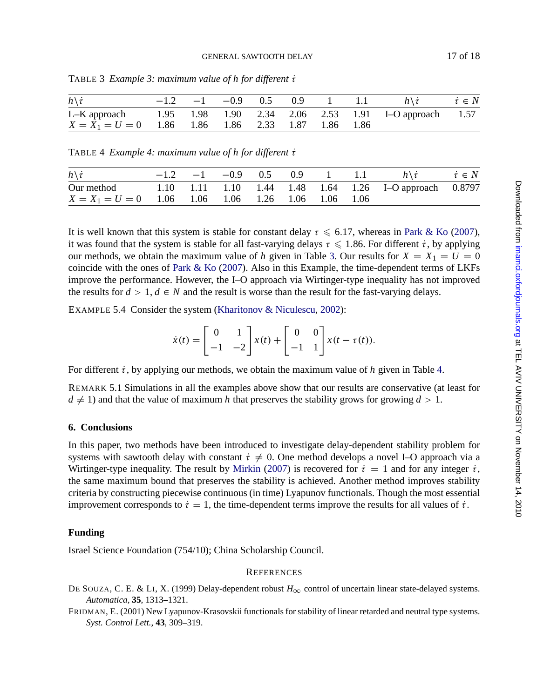| $h \backslash \dot{\tau}$                                         |  | $-1.2$ $-1$ $-0.9$ 0.5 0.9 1 1.1 |  |  | $h \setminus \tau$ | $\dot{\tau} \in N$ |
|-------------------------------------------------------------------|--|----------------------------------|--|--|--------------------|--------------------|
| L-K approach 1.95 1.98 1.90 2.34 2.06 2.53 1.91 I-O approach 1.57 |  |                                  |  |  |                    |                    |
| $X = X_1 = U = 0$ 1.86 1.86 1.86 2.33 1.87 1.86 1.86              |  |                                  |  |  |                    |                    |

<span id="page-16-0"></span>TABLE 3 *Example 3: maximum value of h for different τ* 

|  | TABLE 4 Example 4: maximum value of h for different t |  |  |  |  |  |  |
|--|-------------------------------------------------------|--|--|--|--|--|--|
|--|-------------------------------------------------------|--|--|--|--|--|--|

| $h\backslash \dot{\tau}$                                          |  |  |  | $-1.2$ $-1$ $-0.9$ 0.5 0.9 1 1.1 $h\dot{\tau}$ $\dot{\tau} \in N$ |  |
|-------------------------------------------------------------------|--|--|--|-------------------------------------------------------------------|--|
| Our method 1.10 1.11 1.10 1.44 1.48 1.64 1.26 I-O approach 0.8797 |  |  |  |                                                                   |  |
| $X = X_1 = U = 0$ 1.06 1.06 1.06 1.26 1.06 1.06 1.06              |  |  |  |                                                                   |  |

It is well known that this system is stable for constant delay  $\tau \leq 6.17$ , whereas in Park & Ko (2007), it was found that the system is stable for all fast-varying delays  $\tau \leq 1.86$ . For different  $\dot{\tau}$ , by applying our methods, we obtain the maximum value of *h* given in Table 3. Our results for  $X = X_1 = U = 0$ coincide with the ones of Park & Ko (2007). Also in this Example, the time-dependent terms of LKFs improve the performance. However, the I–O approach via Wirtinger-type inequality has not improved the results for  $d > 1$ ,  $d \in N$  and the result is worse than the result for the fast-varying delays.

EXAMPLE 5.4 Consider the system (Kharitonov & Niculescu, 2002):

$$
\dot{x}(t) = \begin{bmatrix} 0 & 1 \\ -1 & -2 \end{bmatrix} x(t) + \begin{bmatrix} 0 & 0 \\ -1 & 1 \end{bmatrix} x(t - \tau(t)).
$$

For different  $\dot{\tau}$ , by applying our methods[, we obtain the](#page-17-0) maximum value of *h* given in Table 4.

REMARK 5.1 Simulations in all the examples above show that our results are conservative (at least for  $d \neq 1$ ) and that the value of maximum *h* that preserves the stability grows for growing  $d > 1$ .

# **6. Conclusions**

In this paper, two methods have been introduced to investigate delay-dependent stability problem for systems with sawtooth delay with constant  $\dot{\tau} \neq 0$ . One method develops a novel I–O approach via a Wirtinger-type inequality. The result by Mirkin (2007) is recovered for  $\dot{\tau} = 1$  and for any integer  $\dot{\tau}$ , the same maximum bound that preserves the stability is achieved. Another method improves stability criteria by constructing piecewise continuous (in time) Lyapunov functionals. Though the most essential improvement corresponds to  $\dot{\tau} = 1$ , the time-dependent terms improve the results for all values of  $\dot{\tau}$ .

# **Funding**

Israel Science Foundation (754/10); China Scholarship Council.

#### **REFERENCES**

DE SOUZA, C. E. & LI, X. (1999) Delay-dependent robust *H*<sup>∞</sup> control of uncertain linear state-delayed systems. *Automatica*, **35**, 1313–1321.

FRIDMAN, E. (2001) New Lyapunov-Krasovskii functionals for stability of linear retarded and neutral type systems. *Syst. Control Lett.*, **43**, 309–319.